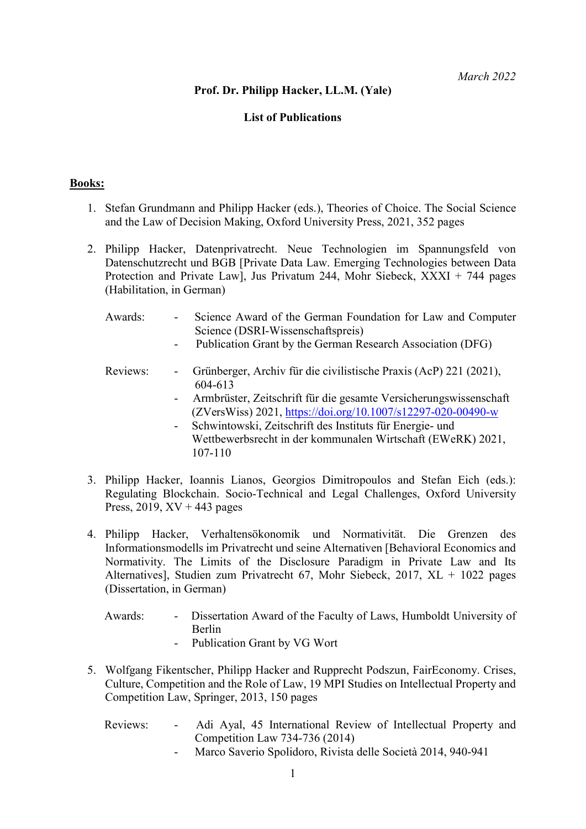# Prof. Dr. Philipp Hacker, LL.M. (Yale)

# List of Publications

## Books:

- 1. Stefan Grundmann and Philipp Hacker (eds.), Theories of Choice. The Social Science and the Law of Decision Making, Oxford University Press, 2021, 352 pages
- 2. Philipp Hacker, Datenprivatrecht. Neue Technologien im Spannungsfeld von Datenschutzrecht und BGB [Private Data Law. Emerging Technologies between Data Protection and Private Lawl, Jus Privatum 244, Mohr Siebeck,  $\overline{XX}X$  + 744 pages (Habilitation, in German)
	- Awards: Science Award of the German Foundation for Law and Computer Science (DSRI-Wissenschaftspreis)
		- Publication Grant by the German Research Association (DFG)
	- Reviews: Grünberger, Archiv für die civilistische Praxis (AcP) 221 (2021), 604-613
		- Armbrüster, Zeitschrift für die gesamte Versicherungswissenschaft (ZVersWiss) 2021, https://doi.org/10.1007/s12297-020-00490-w
		- Schwintowski, Zeitschrift des Instituts für Energie- und Wettbewerbsrecht in der kommunalen Wirtschaft (EWeRK) 2021, 107-110
- 3. Philipp Hacker, Ioannis Lianos, Georgios Dimitropoulos and Stefan Eich (eds.): Regulating Blockchain. Socio-Technical and Legal Challenges, Oxford University Press,  $2019$ ,  $XV + 443$  pages
- 4. Philipp Hacker, Verhaltensökonomik und Normativität. Die Grenzen des Informationsmodells im Privatrecht und seine Alternativen [Behavioral Economics and Normativity. The Limits of the Disclosure Paradigm in Private Law and Its Alternatives], Studien zum Privatrecht 67, Mohr Siebeck, 2017, XL + 1022 pages (Dissertation, in German)
	- Awards: Dissertation Award of the Faculty of Laws, Humboldt University of Berlin
		- Publication Grant by VG Wort
- 5. Wolfgang Fikentscher, Philipp Hacker and Rupprecht Podszun, FairEconomy. Crises, Culture, Competition and the Role of Law, 19 MPI Studies on Intellectual Property and Competition Law, Springer, 2013, 150 pages
	- Reviews: Adi Ayal, 45 International Review of Intellectual Property and Competition Law 734-736 (2014)
		- Marco Saverio Spolidoro, Rivista delle Società 2014, 940-941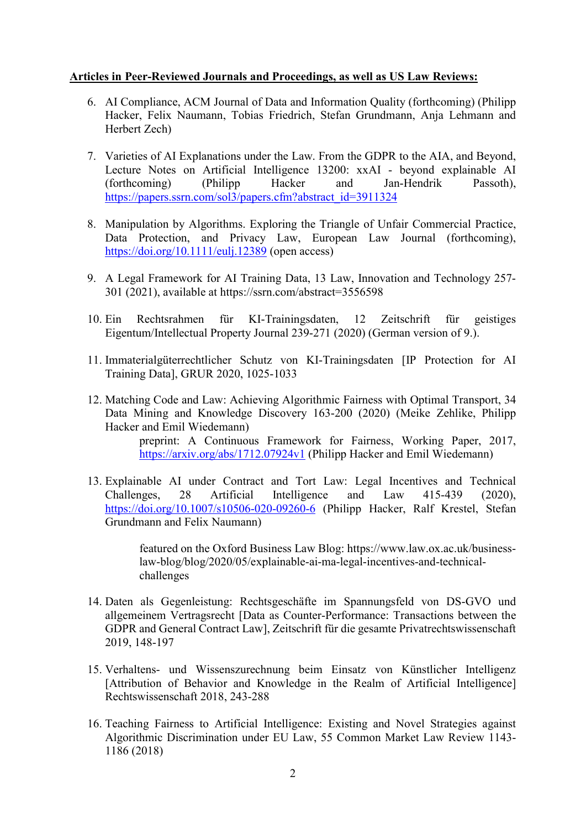#### Articles in Peer-Reviewed Journals and Proceedings, as well as US Law Reviews:

- 6. AI Compliance, ACM Journal of Data and Information Quality (forthcoming) (Philipp Hacker, Felix Naumann, Tobias Friedrich, Stefan Grundmann, Anja Lehmann and Herbert Zech)
- 7. Varieties of AI Explanations under the Law. From the GDPR to the AIA, and Beyond, Lecture Notes on Artificial Intelligence 13200: xxAI - beyond explainable AI (forthcoming) (Philipp Hacker and Jan-Hendrik Passoth), https://papers.ssrn.com/sol3/papers.cfm?abstract\_id=3911324
- 8. Manipulation by Algorithms. Exploring the Triangle of Unfair Commercial Practice, Data Protection, and Privacy Law, European Law Journal (forthcoming), https://doi.org/10.1111/eulj.12389 (open access)
- 9. A Legal Framework for AI Training Data, 13 Law, Innovation and Technology 257- 301 (2021), available at https://ssrn.com/abstract=3556598
- 10. Ein Rechtsrahmen für KI-Trainingsdaten, 12 Zeitschrift für geistiges Eigentum/Intellectual Property Journal 239-271 (2020) (German version of 9.).
- 11. Immaterialgüterrechtlicher Schutz von KI-Trainingsdaten [IP Protection for AI Training Data], GRUR 2020, 1025-1033
- 12. Matching Code and Law: Achieving Algorithmic Fairness with Optimal Transport, 34 Data Mining and Knowledge Discovery 163-200 (2020) (Meike Zehlike, Philipp Hacker and Emil Wiedemann)

preprint: A Continuous Framework for Fairness, Working Paper, 2017, https://arxiv.org/abs/1712.07924v1 (Philipp Hacker and Emil Wiedemann)

13. Explainable AI under Contract and Tort Law: Legal Incentives and Technical Challenges, 28 Artificial Intelligence and Law 415-439 (2020), https://doi.org/10.1007/s10506-020-09260-6 (Philipp Hacker, Ralf Krestel, Stefan Grundmann and Felix Naumann)

> featured on the Oxford Business Law Blog: https://www.law.ox.ac.uk/businesslaw-blog/blog/2020/05/explainable-ai-ma-legal-incentives-and-technicalchallenges

- 14. Daten als Gegenleistung: Rechtsgeschäfte im Spannungsfeld von DS-GVO und allgemeinem Vertragsrecht [Data as Counter-Performance: Transactions between the GDPR and General Contract Law], Zeitschrift für die gesamte Privatrechtswissenschaft 2019, 148-197
- 15. Verhaltens- und Wissenszurechnung beim Einsatz von Künstlicher Intelligenz [Attribution of Behavior and Knowledge in the Realm of Artificial Intelligence] Rechtswissenschaft 2018, 243-288
- 16. Teaching Fairness to Artificial Intelligence: Existing and Novel Strategies against Algorithmic Discrimination under EU Law, 55 Common Market Law Review 1143- 1186 (2018)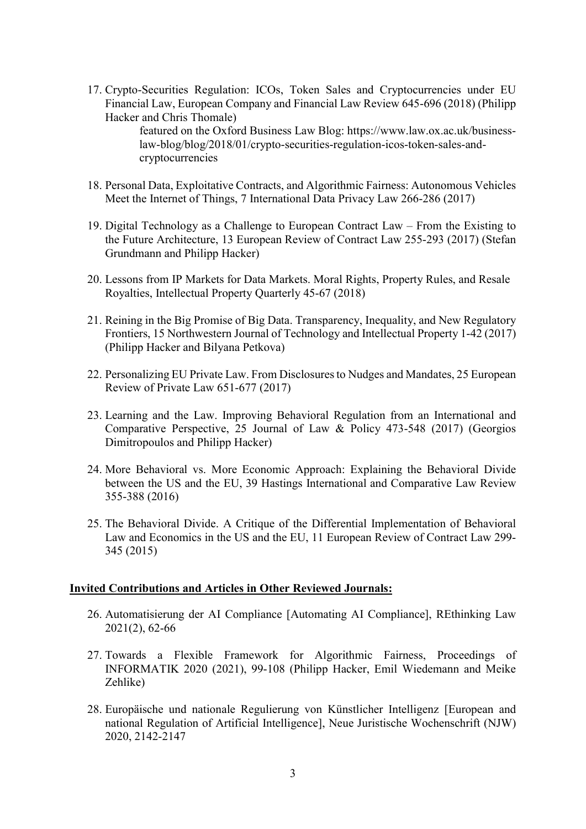17. Crypto-Securities Regulation: ICOs, Token Sales and Cryptocurrencies under EU Financial Law, European Company and Financial Law Review 645-696 (2018) (Philipp Hacker and Chris Thomale)

featured on the Oxford Business Law Blog: https://www.law.ox.ac.uk/businesslaw-blog/blog/2018/01/crypto-securities-regulation-icos-token-sales-andcryptocurrencies

- 18. Personal Data, Exploitative Contracts, and Algorithmic Fairness: Autonomous Vehicles Meet the Internet of Things, 7 International Data Privacy Law 266-286 (2017)
- 19. Digital Technology as a Challenge to European Contract Law From the Existing to the Future Architecture, 13 European Review of Contract Law 255-293 (2017) (Stefan Grundmann and Philipp Hacker)
- 20. Lessons from IP Markets for Data Markets. Moral Rights, Property Rules, and Resale Royalties, Intellectual Property Quarterly 45-67 (2018)
- 21. Reining in the Big Promise of Big Data. Transparency, Inequality, and New Regulatory Frontiers, 15 Northwestern Journal of Technology and Intellectual Property 1-42 (2017) (Philipp Hacker and Bilyana Petkova)
- 22. Personalizing EU Private Law. From Disclosures to Nudges and Mandates, 25 European Review of Private Law 651-677 (2017)
- 23. Learning and the Law. Improving Behavioral Regulation from an International and Comparative Perspective, 25 Journal of Law & Policy 473-548 (2017) (Georgios Dimitropoulos and Philipp Hacker)
- 24. More Behavioral vs. More Economic Approach: Explaining the Behavioral Divide between the US and the EU, 39 Hastings International and Comparative Law Review 355-388 (2016)
- 25. The Behavioral Divide. A Critique of the Differential Implementation of Behavioral Law and Economics in the US and the EU, 11 European Review of Contract Law 299- 345 (2015)

#### Invited Contributions and Articles in Other Reviewed Journals:

- 26. Automatisierung der AI Compliance [Automating AI Compliance], REthinking Law 2021(2), 62-66
- 27. Towards a Flexible Framework for Algorithmic Fairness, Proceedings of INFORMATIK 2020 (2021), 99-108 (Philipp Hacker, Emil Wiedemann and Meike Zehlike)
- 28. Europäische und nationale Regulierung von Künstlicher Intelligenz [European and national Regulation of Artificial Intelligence], Neue Juristische Wochenschrift (NJW) 2020, 2142-2147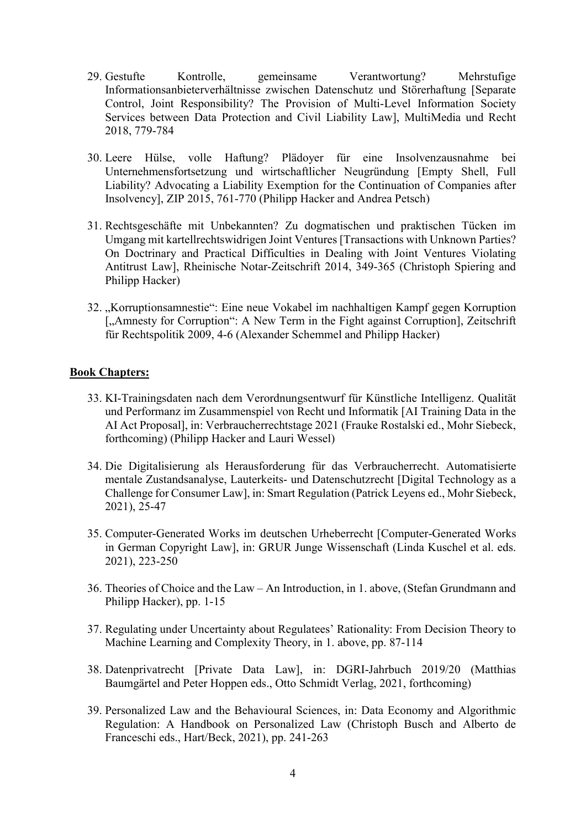- 29. Gestufte Kontrolle, gemeinsame Verantwortung? Mehrstufige Informationsanbieterverhältnisse zwischen Datenschutz und Störerhaftung [Separate Control, Joint Responsibility? The Provision of Multi-Level Information Society Services between Data Protection and Civil Liability Law], MultiMedia und Recht 2018, 779-784
- 30. Leere Hülse, volle Haftung? Plädoyer für eine Insolvenzausnahme bei Unternehmensfortsetzung und wirtschaftlicher Neugründung [Empty Shell, Full Liability? Advocating a Liability Exemption for the Continuation of Companies after Insolvency], ZIP 2015, 761-770 (Philipp Hacker and Andrea Petsch)
- 31. Rechtsgeschäfte mit Unbekannten? Zu dogmatischen und praktischen Tücken im Umgang mit kartellrechtswidrigen Joint Ventures [Transactions with Unknown Parties? On Doctrinary and Practical Difficulties in Dealing with Joint Ventures Violating Antitrust Law], Rheinische Notar-Zeitschrift 2014, 349-365 (Christoph Spiering and Philipp Hacker)
- 32. "Korruptionsamnestie": Eine neue Vokabel im nachhaltigen Kampf gegen Korruption [,Amnesty for Corruption": A New Term in the Fight against Corruption], Zeitschrift für Rechtspolitik 2009, 4-6 (Alexander Schemmel and Philipp Hacker)

#### Book Chapters:

- 33. KI-Trainingsdaten nach dem Verordnungsentwurf für Künstliche Intelligenz. Qualität und Performanz im Zusammenspiel von Recht und Informatik [AI Training Data in the AI Act Proposal], in: Verbraucherrechtstage 2021 (Frauke Rostalski ed., Mohr Siebeck, forthcoming) (Philipp Hacker and Lauri Wessel)
- 34. Die Digitalisierung als Herausforderung für das Verbraucherrecht. Automatisierte mentale Zustandsanalyse, Lauterkeits- und Datenschutzrecht [Digital Technology as a Challenge for Consumer Law], in: Smart Regulation (Patrick Leyens ed., Mohr Siebeck, 2021), 25-47
- 35. Computer-Generated Works im deutschen Urheberrecht [Computer-Generated Works in German Copyright Law], in: GRUR Junge Wissenschaft (Linda Kuschel et al. eds. 2021), 223-250
- 36. Theories of Choice and the Law An Introduction, in 1. above, (Stefan Grundmann and Philipp Hacker), pp. 1-15
- 37. Regulating under Uncertainty about Regulatees' Rationality: From Decision Theory to Machine Learning and Complexity Theory, in 1. above, pp. 87-114
- 38. Datenprivatrecht [Private Data Law], in: DGRI-Jahrbuch 2019/20 (Matthias Baumgärtel and Peter Hoppen eds., Otto Schmidt Verlag, 2021, forthcoming)
- 39. Personalized Law and the Behavioural Sciences, in: Data Economy and Algorithmic Regulation: A Handbook on Personalized Law (Christoph Busch and Alberto de Franceschi eds., Hart/Beck, 2021), pp. 241-263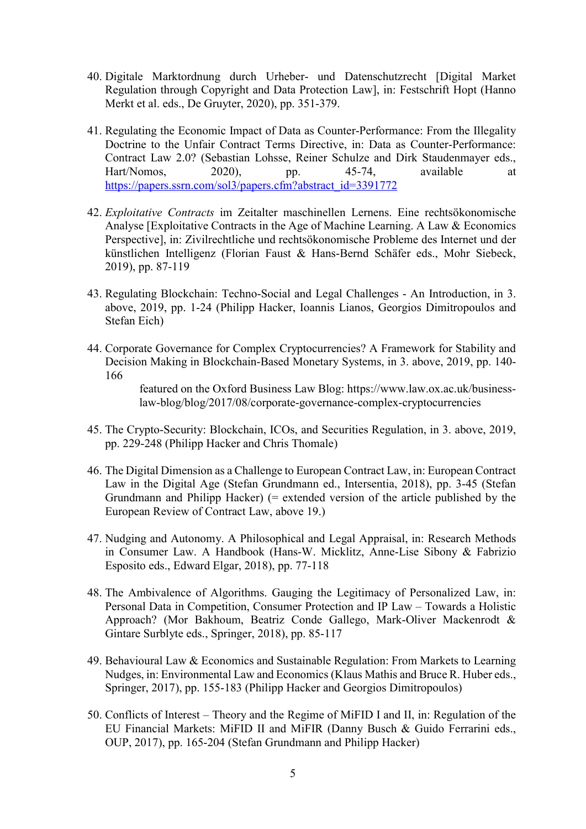- 40. Digitale Marktordnung durch Urheber- und Datenschutzrecht [Digital Market Regulation through Copyright and Data Protection Law], in: Festschrift Hopt (Hanno Merkt et al. eds., De Gruyter, 2020), pp. 351-379.
- 41. Regulating the Economic Impact of Data as Counter-Performance: From the Illegality Doctrine to the Unfair Contract Terms Directive, in: Data as Counter-Performance: Contract Law 2.0? (Sebastian Lohsse, Reiner Schulze and Dirk Staudenmayer eds., Hart/Nomos, 2020), pp. 45-74, available at https://papers.ssrn.com/sol3/papers.cfm?abstract\_id=3391772
- 42. Exploitative Contracts im Zeitalter maschinellen Lernens. Eine rechtsökonomische Analyse [Exploitative Contracts in the Age of Machine Learning. A Law & Economics Perspective], in: Zivilrechtliche und rechtsökonomische Probleme des Internet und der künstlichen Intelligenz (Florian Faust & Hans-Bernd Schäfer eds., Mohr Siebeck, 2019), pp. 87-119
- 43. Regulating Blockchain: Techno-Social and Legal Challenges An Introduction, in 3. above, 2019, pp. 1-24 (Philipp Hacker, Ioannis Lianos, Georgios Dimitropoulos and Stefan Eich)
- 44. Corporate Governance for Complex Cryptocurrencies? A Framework for Stability and Decision Making in Blockchain-Based Monetary Systems, in 3. above, 2019, pp. 140- 166

featured on the Oxford Business Law Blog: https://www.law.ox.ac.uk/businesslaw-blog/blog/2017/08/corporate-governance-complex-cryptocurrencies

- 45. The Crypto-Security: Blockchain, ICOs, and Securities Regulation, in 3. above, 2019, pp. 229-248 (Philipp Hacker and Chris Thomale)
- 46. The Digital Dimension as a Challenge to European Contract Law, in: European Contract Law in the Digital Age (Stefan Grundmann ed., Intersentia, 2018), pp. 3-45 (Stefan Grundmann and Philipp Hacker) (= extended version of the article published by the European Review of Contract Law, above 19.)
- 47. Nudging and Autonomy. A Philosophical and Legal Appraisal, in: Research Methods in Consumer Law. A Handbook (Hans-W. Micklitz, Anne-Lise Sibony & Fabrizio Esposito eds., Edward Elgar, 2018), pp. 77-118
- 48. The Ambivalence of Algorithms. Gauging the Legitimacy of Personalized Law, in: Personal Data in Competition, Consumer Protection and IP Law – Towards a Holistic Approach? (Mor Bakhoum, Beatriz Conde Gallego, Mark-Oliver Mackenrodt & Gintare Surblyte eds., Springer, 2018), pp. 85-117
- 49. Behavioural Law & Economics and Sustainable Regulation: From Markets to Learning Nudges, in: Environmental Law and Economics (Klaus Mathis and Bruce R. Huber eds., Springer, 2017), pp. 155-183 (Philipp Hacker and Georgios Dimitropoulos)
- 50. Conflicts of Interest Theory and the Regime of MiFID I and II, in: Regulation of the EU Financial Markets: MiFID II and MiFIR (Danny Busch & Guido Ferrarini eds., OUP, 2017), pp. 165-204 (Stefan Grundmann and Philipp Hacker)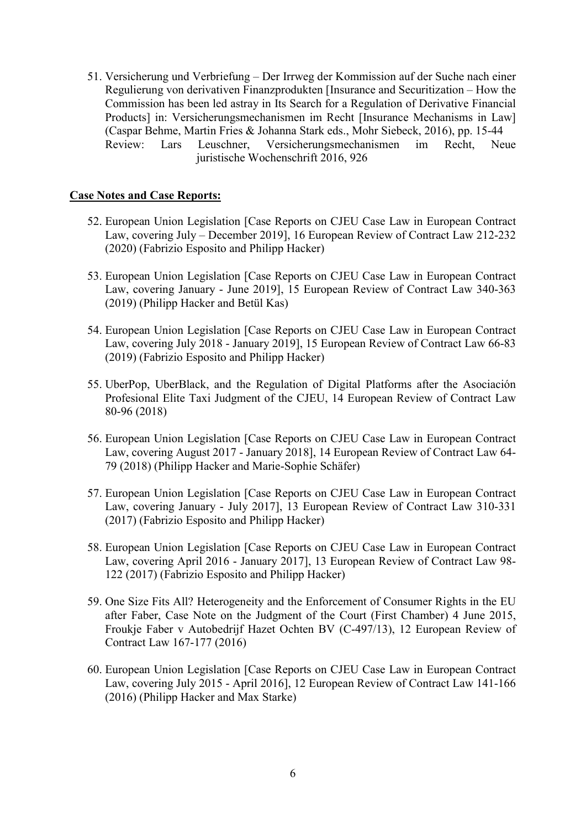51. Versicherung und Verbriefung – Der Irrweg der Kommission auf der Suche nach einer Regulierung von derivativen Finanzprodukten [Insurance and Securitization – How the Commission has been led astray in Its Search for a Regulation of Derivative Financial Products] in: Versicherungsmechanismen im Recht [Insurance Mechanisms in Law] (Caspar Behme, Martin Fries & Johanna Stark eds., Mohr Siebeck, 2016), pp. 15-44 Review: Lars Leuschner, Versicherungsmechanismen im Recht, Neue juristische Wochenschrift 2016, 926

## Case Notes and Case Reports:

- 52. European Union Legislation [Case Reports on CJEU Case Law in European Contract Law, covering July – December 2019], 16 European Review of Contract Law 212-232 (2020) (Fabrizio Esposito and Philipp Hacker)
- 53. European Union Legislation [Case Reports on CJEU Case Law in European Contract Law, covering January - June 2019], 15 European Review of Contract Law 340-363 (2019) (Philipp Hacker and Betül Kas)
- 54. European Union Legislation [Case Reports on CJEU Case Law in European Contract Law, covering July 2018 - January 2019], 15 European Review of Contract Law 66-83 (2019) (Fabrizio Esposito and Philipp Hacker)
- 55. UberPop, UberBlack, and the Regulation of Digital Platforms after the Asociación Profesional Elite Taxi Judgment of the CJEU, 14 European Review of Contract Law 80-96 (2018)
- 56. European Union Legislation [Case Reports on CJEU Case Law in European Contract Law, covering August 2017 - January 2018], 14 European Review of Contract Law 64- 79 (2018) (Philipp Hacker and Marie-Sophie Schäfer)
- 57. European Union Legislation [Case Reports on CJEU Case Law in European Contract Law, covering January - July 2017], 13 European Review of Contract Law 310-331 (2017) (Fabrizio Esposito and Philipp Hacker)
- 58. European Union Legislation [Case Reports on CJEU Case Law in European Contract Law, covering April 2016 - January 2017], 13 European Review of Contract Law 98- 122 (2017) (Fabrizio Esposito and Philipp Hacker)
- 59. One Size Fits All? Heterogeneity and the Enforcement of Consumer Rights in the EU after Faber, Case Note on the Judgment of the Court (First Chamber) 4 June 2015, Froukje Faber v Autobedrijf Hazet Ochten BV (C-497/13), 12 European Review of Contract Law 167-177 (2016)
- 60. European Union Legislation [Case Reports on CJEU Case Law in European Contract Law, covering July 2015 - April 2016], 12 European Review of Contract Law 141-166 (2016) (Philipp Hacker and Max Starke)